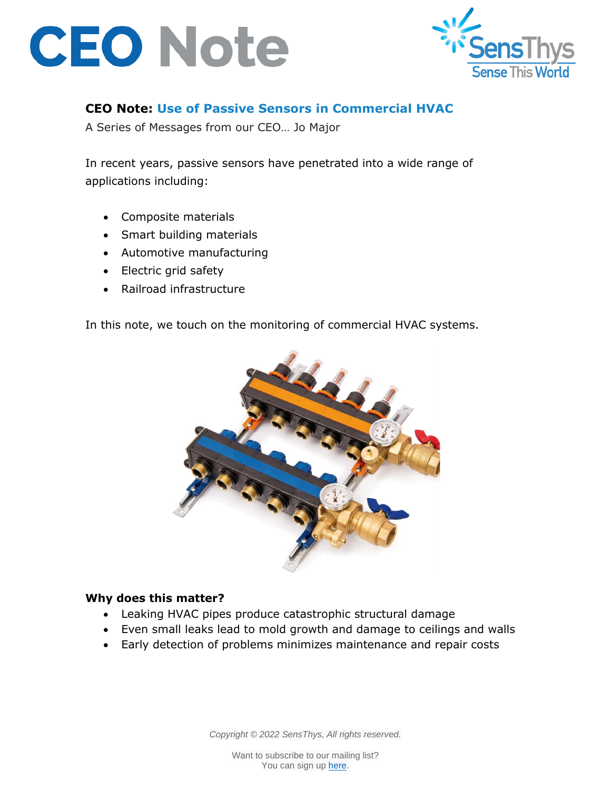



## **CEO Note: Use of Passive Sensors in Commercial HVAC**

A Series of Messages from our CEO… Jo Major

In recent years, passive sensors have penetrated into a wide range of applications including:

- Composite materials
- Smart building materials
- Automotive manufacturing
- Electric grid safety
- Railroad infrastructure

In this note, we touch on the monitoring of commercial HVAC systems.



## **Why does this matter?**

- Leaking HVAC pipes produce catastrophic structural damage
- Even small leaks lead to mold growth and damage to ceilings and walls
- Early detection of problems minimizes maintenance and repair costs

*Copyright © 2022 SensThys, All rights reserved.*